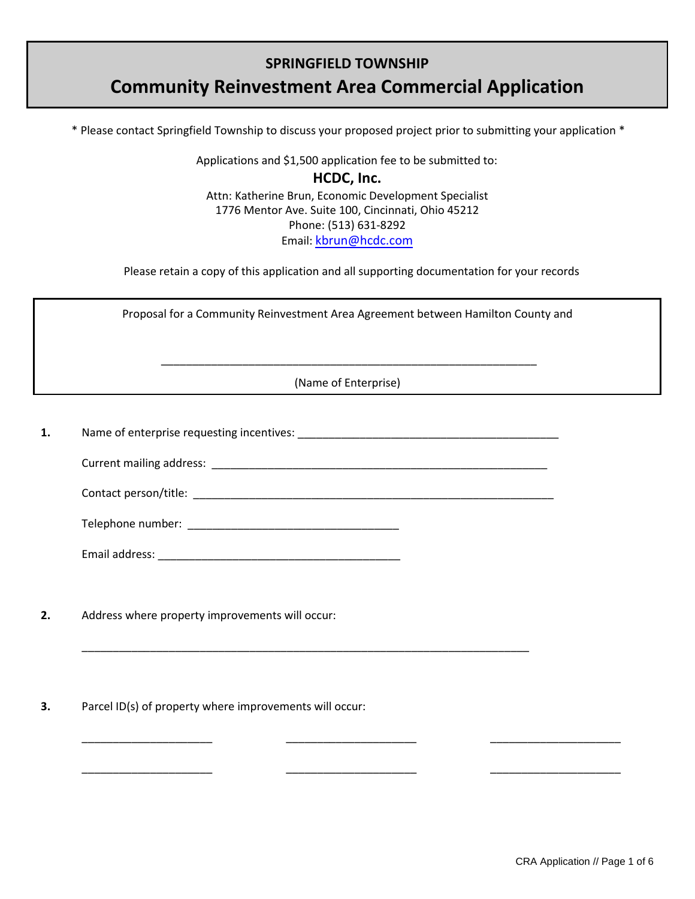# **SPRINGFIELD TOWNSHIP**

# **Community Reinvestment Area Commercial Application**

\* Please contact Springfield Township to discuss your proposed project prior to submitting your application \*

Applications and \$1,500 application fee to be submitted to:

**HCDC, Inc.** Attn: Katherine Brun, Economic Development Specialist 1776 Mentor Ave. Suite 100, Cincinnati, Ohio 45212 Phone: (513) 631-8292 Email: [kbrun@hcdc.com](mailto:crussell@springdale.org)

Please retain a copy of this application and all supporting documentation for your records

Proposal for a Community Reinvestment Area Agreement between Hamilton County and

(Name of Enterprise)

\_\_\_\_\_\_\_\_\_\_\_\_\_\_\_\_\_\_\_\_\_\_\_\_\_\_\_\_\_\_\_\_\_\_\_\_\_\_\_\_\_\_\_\_\_\_\_\_\_\_\_\_\_\_\_\_\_\_\_\_

**1.** Name of enterprise requesting incentives: \_\_\_\_\_\_\_\_\_\_\_\_\_\_\_\_\_\_\_\_\_\_\_\_\_\_\_\_\_\_\_\_\_\_\_\_\_\_\_\_\_\_

Current mailing address: **Example 20** and the set of the set of the set of the set of the set of the set of the set of the set of the set of the set of the set of the set of the set of the set of the set of the set of the

\_\_\_\_\_\_\_\_\_\_\_\_\_\_\_\_\_\_\_\_\_\_\_\_\_\_\_\_\_\_\_\_\_\_\_\_\_\_\_\_\_\_\_\_\_\_\_\_\_\_\_\_\_\_\_\_\_\_\_\_\_\_\_\_\_\_\_\_\_\_\_\_

\_\_\_\_\_\_\_\_\_\_\_\_\_\_\_\_\_\_\_\_\_ \_\_\_\_\_\_\_\_\_\_\_\_\_\_\_\_\_\_\_\_\_ \_\_\_\_\_\_\_\_\_\_\_\_\_\_\_\_\_\_\_\_\_

\_\_\_\_\_\_\_\_\_\_\_\_\_\_\_\_\_\_\_\_\_ \_\_\_\_\_\_\_\_\_\_\_\_\_\_\_\_\_\_\_\_\_ \_\_\_\_\_\_\_\_\_\_\_\_\_\_\_\_\_\_\_\_\_

Contact person/title:

Email address: \_\_\_\_\_\_\_\_\_\_\_\_\_\_\_\_\_\_\_\_\_\_\_\_\_\_\_\_\_\_\_\_\_\_\_\_\_\_\_

Telephone number: \_\_\_\_\_\_\_\_\_\_\_\_\_\_\_\_\_\_\_\_\_\_\_\_\_\_\_\_\_\_\_\_\_\_

**2.** Address where property improvements will occur:

**3.** Parcel ID(s) of property where improvements will occur: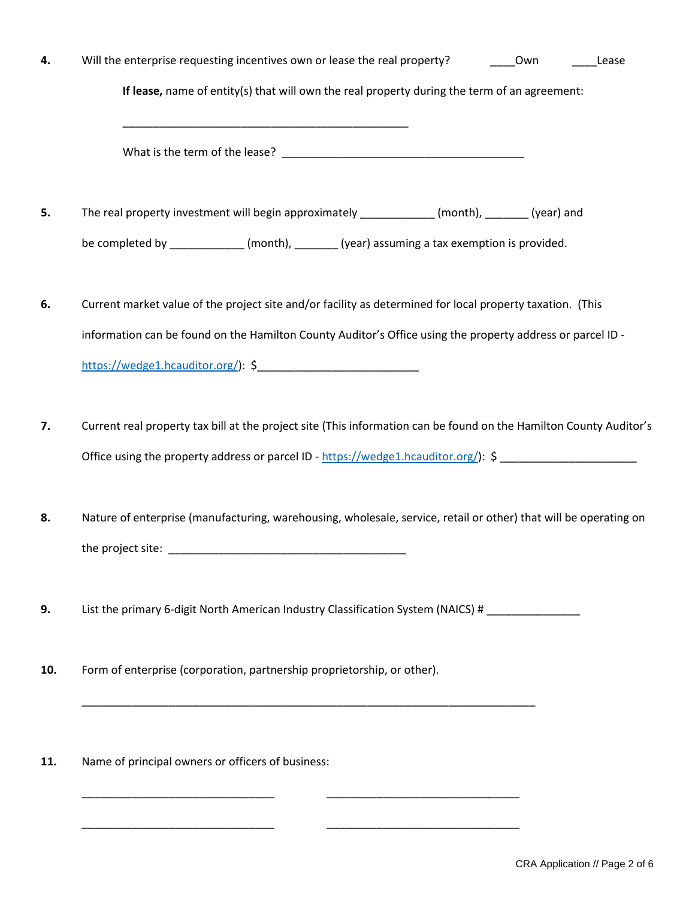| 4. | Will the enterprise requesting incentives own or lease the real property?                                                                                                                                               | Own | Lease |
|----|-------------------------------------------------------------------------------------------------------------------------------------------------------------------------------------------------------------------------|-----|-------|
|    | If lease, name of entity(s) that will own the real property during the term of an agreement:                                                                                                                            |     |       |
|    | <u> 1999 - Johann John Stone, mars et al. (1999)</u>                                                                                                                                                                    |     |       |
| 5. | The real property investment will begin approximately ____________ (month), _______ (year) and                                                                                                                          |     |       |
|    | be completed by _____________ (month), ________ (year) assuming a tax exemption is provided.                                                                                                                            |     |       |
| 6. | Current market value of the project site and/or facility as determined for local property taxation. (This<br>information can be found on the Hamilton County Auditor's Office using the property address or parcel ID - |     |       |
|    |                                                                                                                                                                                                                         |     |       |
| 7. | Current real property tax bill at the project site (This information can be found on the Hamilton County Auditor's<br>Office using the property address or parcel ID - https://wedge1.hcauditor.org/): \$               |     |       |
| 8. | Nature of enterprise (manufacturing, warehousing, wholesale, service, retail or other) that will be operating on                                                                                                        |     |       |
| 9. | List the primary 6-digit North American Industry Classification System (NAICS) # __________________                                                                                                                     |     |       |

**10.** Form of enterprise (corporation, partnership proprietorship, or other).

\_\_\_\_\_\_\_\_\_\_\_\_\_\_\_\_\_\_\_\_\_\_\_\_\_\_\_\_\_\_\_\_\_\_\_\_\_\_\_\_\_\_\_\_\_\_\_\_\_\_\_\_\_\_\_\_\_\_\_\_\_\_\_\_\_\_\_\_\_\_\_\_\_

\_\_\_\_\_\_\_\_\_\_\_\_\_\_\_\_\_\_\_\_\_\_\_\_\_\_\_\_\_\_\_ \_\_\_\_\_\_\_\_\_\_\_\_\_\_\_\_\_\_\_\_\_\_\_\_\_\_\_\_\_\_\_

\_\_\_\_\_\_\_\_\_\_\_\_\_\_\_\_\_\_\_\_\_\_\_\_\_\_\_\_\_\_\_ \_\_\_\_\_\_\_\_\_\_\_\_\_\_\_\_\_\_\_\_\_\_\_\_\_\_\_\_\_\_\_

**11.** Name of principal owners or officers of business: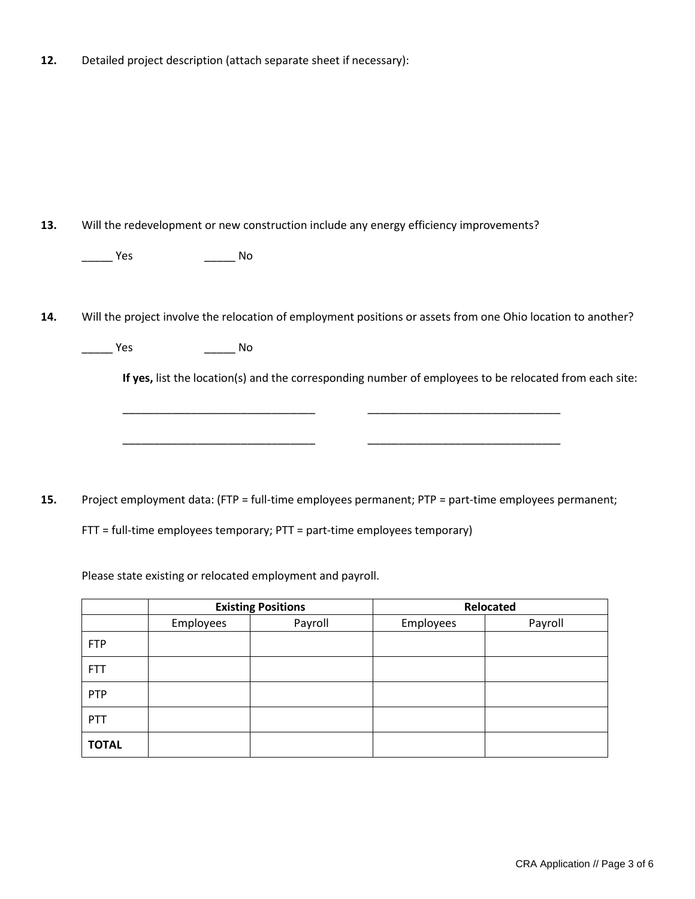**12.** Detailed project description (attach separate sheet if necessary):

**13.** Will the redevelopment or new construction include any energy efficiency improvements?

\_\_\_\_\_ Yes \_\_\_\_\_ No

**14.** Will the project involve the relocation of employment positions or assets from one Ohio location to another?

\_\_\_\_\_\_\_\_\_\_\_\_\_\_\_\_\_\_\_\_\_\_\_\_\_\_\_\_\_\_\_ \_\_\_\_\_\_\_\_\_\_\_\_\_\_\_\_\_\_\_\_\_\_\_\_\_\_\_\_\_\_\_

\_\_\_\_\_\_\_\_\_\_\_\_\_\_\_\_\_\_\_\_\_\_\_\_\_\_\_\_\_\_\_ \_\_\_\_\_\_\_\_\_\_\_\_\_\_\_\_\_\_\_\_\_\_\_\_\_\_\_\_\_\_\_

\_\_\_\_\_\_\_\_ Yes \_\_\_\_\_\_\_\_\_\_\_ No \_\_\_\_\_\_\_\_

**If yes,** list the location(s) and the corresponding number of employees to be relocated from each site:

**15.** Project employment data: (FTP = full-time employees permanent; PTP = part-time employees permanent;

FTT = full-time employees temporary; PTT = part-time employees temporary)

Please state existing or relocated employment and payroll.

|              | <b>Existing Positions</b> |         | Relocated |         |
|--------------|---------------------------|---------|-----------|---------|
|              | Employees                 | Payroll | Employees | Payroll |
| <b>FTP</b>   |                           |         |           |         |
| <b>FTT</b>   |                           |         |           |         |
| PTP          |                           |         |           |         |
| PTT          |                           |         |           |         |
| <b>TOTAL</b> |                           |         |           |         |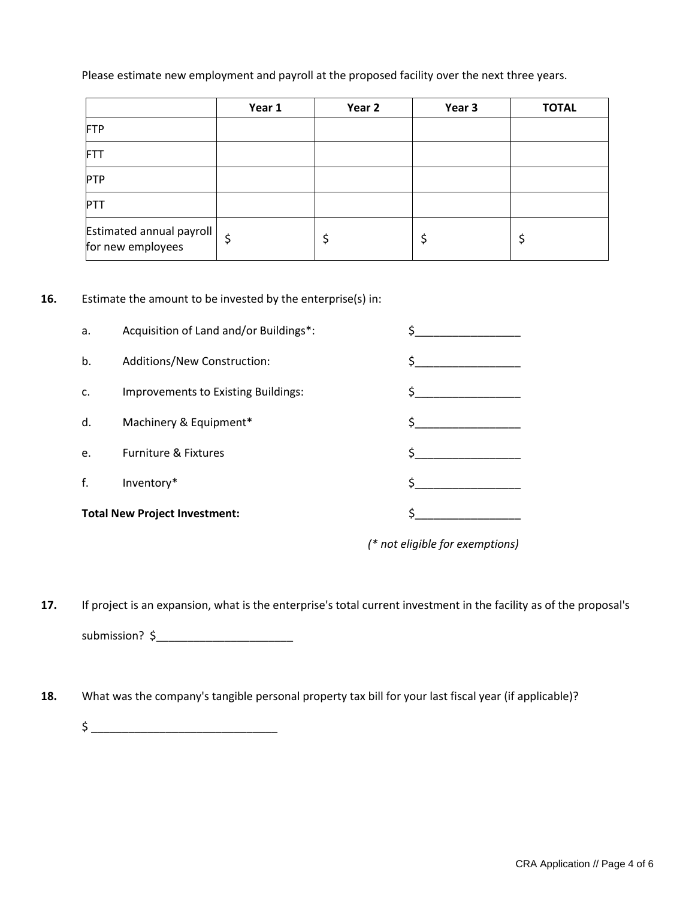## Please estimate new employment and payroll at the proposed facility over the next three years.

|                                               | Year 1 | Year 2 | Year 3 | <b>TOTAL</b> |
|-----------------------------------------------|--------|--------|--------|--------------|
| FTP                                           |        |        |        |              |
| FTT                                           |        |        |        |              |
| PTP                                           |        |        |        |              |
| PTT                                           |        |        |        |              |
| Estimated annual payroll<br>for new employees | \$     |        |        | ⊋            |

### **16.** Estimate the amount to be invested by the enterprise(s) in:

| <b>Total New Project Investment:</b> |                                        |  |
|--------------------------------------|----------------------------------------|--|
| f.                                   | Inventory*                             |  |
| e.                                   | Furniture & Fixtures                   |  |
| d.                                   | Machinery & Equipment*                 |  |
| c.                                   | Improvements to Existing Buildings:    |  |
| b.                                   | Additions/New Construction:            |  |
| a.                                   | Acquisition of Land and/or Buildings*: |  |

*(\* not eligible for exemptions)*

**17.** If project is an expansion, what is the enterprise's total current investment in the facility as of the proposal's submission? \$\_\_\_\_\_\_\_\_\_\_\_\_\_\_\_\_\_\_\_\_\_\_

**18.** What was the company's tangible personal property tax bill for your last fiscal year (if applicable)?

 $\begin{minipage}{0.9\linewidth} \pm\color{blue} 5\color{black} \end{minipage}$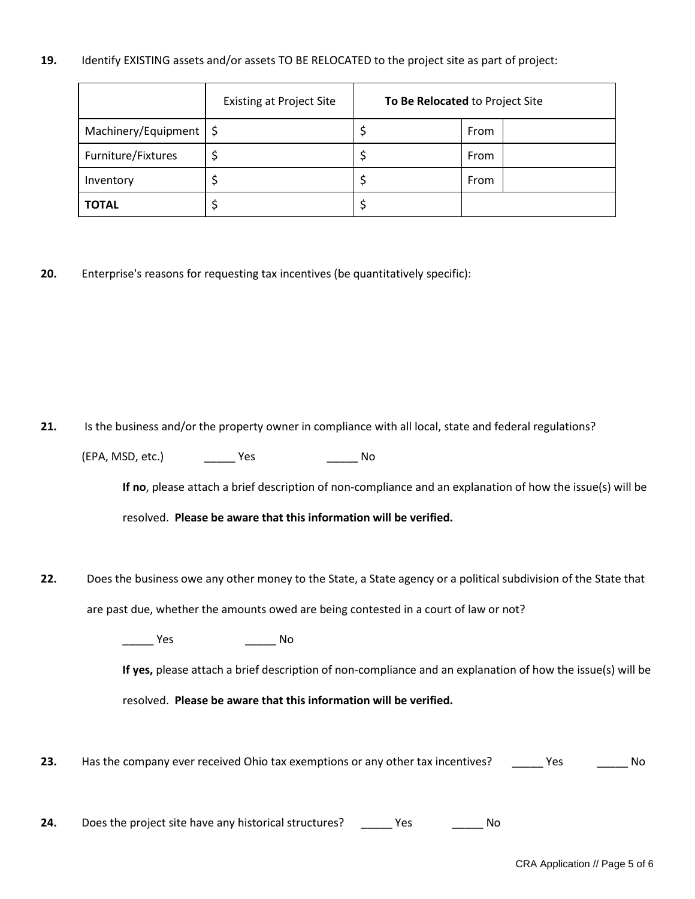### **19.** Identify EXISTING assets and/or assets TO BE RELOCATED to the project site as part of project:

|                                   | <b>Existing at Project Site</b> | To Be Relocated to Project Site |      |
|-----------------------------------|---------------------------------|---------------------------------|------|
| Machinery/Equipment $\frac{1}{5}$ |                                 |                                 | From |
| Furniture/Fixtures                |                                 |                                 | From |
| Inventory                         |                                 |                                 | From |
| <b>TOTAL</b>                      |                                 |                                 |      |

**20.** Enterprise's reasons for requesting tax incentives (be quantitatively specific):

**21.** Is the business and/or the property owner in compliance with all local, state and federal regulations?

(EPA, MSD, etc.) \_\_\_\_\_ Yes \_\_\_\_\_ No

**If no**, please attach a brief description of non-compliance and an explanation of how the issue(s) will be

resolved. **Please be aware that this information will be verified.**

**22.** Does the business owe any other money to the State, a State agency or a political subdivision of the State that are past due, whether the amounts owed are being contested in a court of law or not?

\_\_\_\_\_ Yes \_\_\_\_\_ No

**If yes,** please attach a brief description of non-compliance and an explanation of how the issue(s) will be

resolved. **Please be aware that this information will be verified.**

23. Has the company ever received Ohio tax exemptions or any other tax incentives? \_\_\_\_\_ Yes \_\_\_\_\_\_ No

**24.** Does the project site have any historical structures? \_\_\_\_\_\_ Yes \_\_\_\_\_\_\_\_\_ No